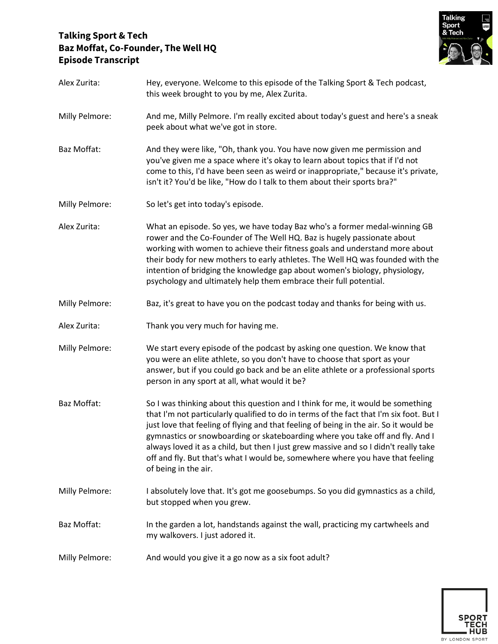## **Talking Sport & Tech Baz Moffat, Co-Founder, The Well HQ Episode Transcript**



| Alex Zurita:   | Hey, everyone. Welcome to this episode of the Talking Sport & Tech podcast,<br>this week brought to you by me, Alex Zurita.                                                                                                                                                                                                                                                                                                                                                                                                                            |
|----------------|--------------------------------------------------------------------------------------------------------------------------------------------------------------------------------------------------------------------------------------------------------------------------------------------------------------------------------------------------------------------------------------------------------------------------------------------------------------------------------------------------------------------------------------------------------|
| Milly Pelmore: | And me, Milly Pelmore. I'm really excited about today's guest and here's a sneak<br>peek about what we've got in store.                                                                                                                                                                                                                                                                                                                                                                                                                                |
| Baz Moffat:    | And they were like, "Oh, thank you. You have now given me permission and<br>you've given me a space where it's okay to learn about topics that if I'd not<br>come to this, I'd have been seen as weird or inappropriate," because it's private,<br>isn't it? You'd be like, "How do I talk to them about their sports bra?"                                                                                                                                                                                                                            |
| Milly Pelmore: | So let's get into today's episode.                                                                                                                                                                                                                                                                                                                                                                                                                                                                                                                     |
| Alex Zurita:   | What an episode. So yes, we have today Baz who's a former medal-winning GB<br>rower and the Co-Founder of The Well HQ. Baz is hugely passionate about<br>working with women to achieve their fitness goals and understand more about<br>their body for new mothers to early athletes. The Well HQ was founded with the<br>intention of bridging the knowledge gap about women's biology, physiology,<br>psychology and ultimately help them embrace their full potential.                                                                              |
| Milly Pelmore: | Baz, it's great to have you on the podcast today and thanks for being with us.                                                                                                                                                                                                                                                                                                                                                                                                                                                                         |
| Alex Zurita:   | Thank you very much for having me.                                                                                                                                                                                                                                                                                                                                                                                                                                                                                                                     |
| Milly Pelmore: | We start every episode of the podcast by asking one question. We know that<br>you were an elite athlete, so you don't have to choose that sport as your<br>answer, but if you could go back and be an elite athlete or a professional sports<br>person in any sport at all, what would it be?                                                                                                                                                                                                                                                          |
| Baz Moffat:    | So I was thinking about this question and I think for me, it would be something<br>that I'm not particularly qualified to do in terms of the fact that I'm six foot. But I<br>just love that feeling of flying and that feeling of being in the air. So it would be<br>gymnastics or snowboarding or skateboarding where you take off and fly. And I<br>always loved it as a child, but then I just grew massive and so I didn't really take<br>off and fly. But that's what I would be, somewhere where you have that feeling<br>of being in the air. |
| Milly Pelmore: | I absolutely love that. It's got me goosebumps. So you did gymnastics as a child,<br>but stopped when you grew.                                                                                                                                                                                                                                                                                                                                                                                                                                        |
| Baz Moffat:    | In the garden a lot, handstands against the wall, practicing my cartwheels and<br>my walkovers. I just adored it.                                                                                                                                                                                                                                                                                                                                                                                                                                      |
| Milly Pelmore: | And would you give it a go now as a six foot adult?                                                                                                                                                                                                                                                                                                                                                                                                                                                                                                    |

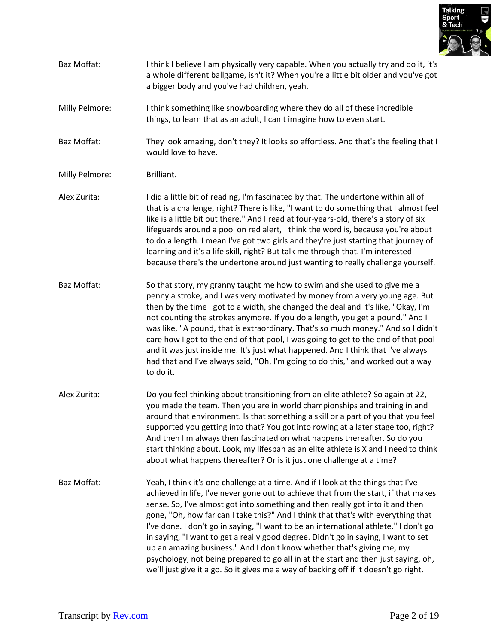

Baz Moffat: I think I believe I am physically very capable. When you actually try and do it, it's a whole different ballgame, isn't it? When you're a little bit older and you've got a bigger body and you've had children, yeah.

Milly Pelmore: I think something like snowboarding where they do all of these incredible things, to learn that as an adult, I can't imagine how to even start.

Baz Moffat: They look amazing, don't they? It looks so effortless. And that's the feeling that I would love to have.

- Milly Pelmore: Brilliant.
- Alex Zurita: I did a little bit of reading, I'm fascinated by that. The undertone within all of that is a challenge, right? There is like, "I want to do something that I almost feel like is a little bit out there." And I read at four-years-old, there's a story of six lifeguards around a pool on red alert, I think the word is, because you're about to do a length. I mean I've got two girls and they're just starting that journey of learning and it's a life skill, right? But talk me through that. I'm interested because there's the undertone around just wanting to really challenge yourself.
- Baz Moffat: So that story, my granny taught me how to swim and she used to give me a penny a stroke, and I was very motivated by money from a very young age. But then by the time I got to a width, she changed the deal and it's like, "Okay, I'm not counting the strokes anymore. If you do a length, you get a pound." And I was like, "A pound, that is extraordinary. That's so much money." And so I didn't care how I got to the end of that pool, I was going to get to the end of that pool and it was just inside me. It's just what happened. And I think that I've always had that and I've always said, "Oh, I'm going to do this," and worked out a way to do it.
- Alex Zurita: Do you feel thinking about transitioning from an elite athlete? So again at 22, you made the team. Then you are in world championships and training in and around that environment. Is that something a skill or a part of you that you feel supported you getting into that? You got into rowing at a later stage too, right? And then I'm always then fascinated on what happens thereafter. So do you start thinking about, Look, my lifespan as an elite athlete is X and I need to think about what happens thereafter? Or is it just one challenge at a time?
- Baz Moffat: Yeah, I think it's one challenge at a time. And if I look at the things that I've achieved in life, I've never gone out to achieve that from the start, if that makes sense. So, I've almost got into something and then really got into it and then gone, "Oh, how far can I take this?" And I think that that's with everything that I've done. I don't go in saying, "I want to be an international athlete." I don't go in saying, "I want to get a really good degree. Didn't go in saying, I want to set up an amazing business." And I don't know whether that's giving me, my psychology, not being prepared to go all in at the start and then just saying, oh, we'll just give it a go. So it gives me a way of backing off if it doesn't go right.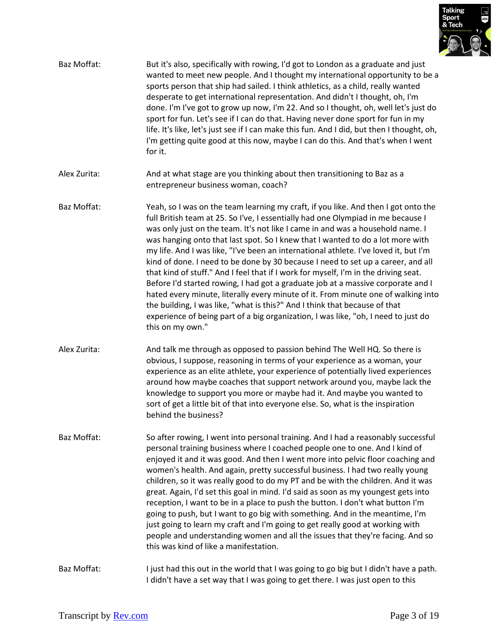

| Baz Moffat:  | But it's also, specifically with rowing, I'd got to London as a graduate and just<br>wanted to meet new people. And I thought my international opportunity to be a<br>sports person that ship had sailed. I think athletics, as a child, really wanted<br>desperate to get international representation. And didn't I thought, oh, I'm<br>done. I'm I've got to grow up now, I'm 22. And so I thought, oh, well let's just do<br>sport for fun. Let's see if I can do that. Having never done sport for fun in my<br>life. It's like, let's just see if I can make this fun. And I did, but then I thought, oh,<br>I'm getting quite good at this now, maybe I can do this. And that's when I went<br>for it.                                                                                                                                                                                                                                                                  |
|--------------|--------------------------------------------------------------------------------------------------------------------------------------------------------------------------------------------------------------------------------------------------------------------------------------------------------------------------------------------------------------------------------------------------------------------------------------------------------------------------------------------------------------------------------------------------------------------------------------------------------------------------------------------------------------------------------------------------------------------------------------------------------------------------------------------------------------------------------------------------------------------------------------------------------------------------------------------------------------------------------|
| Alex Zurita: | And at what stage are you thinking about then transitioning to Baz as a<br>entrepreneur business woman, coach?                                                                                                                                                                                                                                                                                                                                                                                                                                                                                                                                                                                                                                                                                                                                                                                                                                                                 |
| Baz Moffat:  | Yeah, so I was on the team learning my craft, if you like. And then I got onto the<br>full British team at 25. So I've, I essentially had one Olympiad in me because I<br>was only just on the team. It's not like I came in and was a household name. I<br>was hanging onto that last spot. So I knew that I wanted to do a lot more with<br>my life. And I was like, "I've been an international athlete. I've loved it, but I'm<br>kind of done. I need to be done by 30 because I need to set up a career, and all<br>that kind of stuff." And I feel that if I work for myself, I'm in the driving seat.<br>Before I'd started rowing, I had got a graduate job at a massive corporate and I<br>hated every minute, literally every minute of it. From minute one of walking into<br>the building, I was like, "what is this?" And I think that because of that<br>experience of being part of a big organization, I was like, "oh, I need to just do<br>this on my own." |
| Alex Zurita: | And talk me through as opposed to passion behind The Well HQ. So there is<br>obvious, I suppose, reasoning in terms of your experience as a woman, your<br>experience as an elite athlete, your experience of potentially lived experiences<br>around how maybe coaches that support network around you, maybe lack the<br>knowledge to support you more or maybe had it. And maybe you wanted to<br>sort of get a little bit of that into everyone else. So, what is the inspiration<br>behind the business?                                                                                                                                                                                                                                                                                                                                                                                                                                                                  |
| Baz Moffat:  | So after rowing, I went into personal training. And I had a reasonably successful<br>personal training business where I coached people one to one. And I kind of<br>enjoyed it and it was good. And then I went more into pelvic floor coaching and<br>women's health. And again, pretty successful business. I had two really young<br>children, so it was really good to do my PT and be with the children. And it was<br>great. Again, I'd set this goal in mind. I'd said as soon as my youngest gets into<br>reception, I want to be in a place to push the button. I don't what button I'm<br>going to push, but I want to go big with something. And in the meantime, I'm<br>just going to learn my craft and I'm going to get really good at working with<br>people and understanding women and all the issues that they're facing. And so<br>this was kind of like a manifestation.                                                                                   |
| Baz Moffat:  | I just had this out in the world that I was going to go big but I didn't have a path.<br>I didn't have a set way that I was going to get there. I was just open to this                                                                                                                                                                                                                                                                                                                                                                                                                                                                                                                                                                                                                                                                                                                                                                                                        |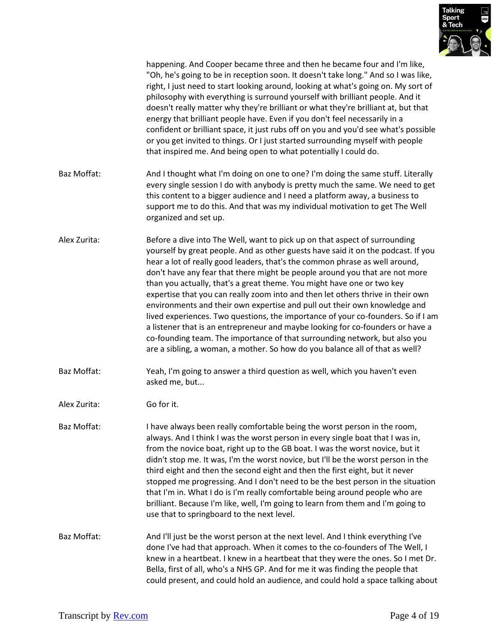

|              | happening. And Cooper became three and then he became four and I'm like,<br>"Oh, he's going to be in reception soon. It doesn't take long." And so I was like,<br>right, I just need to start looking around, looking at what's going on. My sort of<br>philosophy with everything is surround yourself with brilliant people. And it<br>doesn't really matter why they're brilliant or what they're brilliant at, but that<br>energy that brilliant people have. Even if you don't feel necessarily in a<br>confident or brilliant space, it just rubs off on you and you'd see what's possible<br>or you get invited to things. Or I just started surrounding myself with people<br>that inspired me. And being open to what potentially I could do.                                                                                                                                                      |
|--------------|-------------------------------------------------------------------------------------------------------------------------------------------------------------------------------------------------------------------------------------------------------------------------------------------------------------------------------------------------------------------------------------------------------------------------------------------------------------------------------------------------------------------------------------------------------------------------------------------------------------------------------------------------------------------------------------------------------------------------------------------------------------------------------------------------------------------------------------------------------------------------------------------------------------|
| Baz Moffat:  | And I thought what I'm doing on one to one? I'm doing the same stuff. Literally<br>every single session I do with anybody is pretty much the same. We need to get<br>this content to a bigger audience and I need a platform away, a business to<br>support me to do this. And that was my individual motivation to get The Well<br>organized and set up.                                                                                                                                                                                                                                                                                                                                                                                                                                                                                                                                                   |
| Alex Zurita: | Before a dive into The Well, want to pick up on that aspect of surrounding<br>yourself by great people. And as other guests have said it on the podcast. If you<br>hear a lot of really good leaders, that's the common phrase as well around,<br>don't have any fear that there might be people around you that are not more<br>than you actually, that's a great theme. You might have one or two key<br>expertise that you can really zoom into and then let others thrive in their own<br>environments and their own expertise and pull out their own knowledge and<br>lived experiences. Two questions, the importance of your co-founders. So if I am<br>a listener that is an entrepreneur and maybe looking for co-founders or have a<br>co-founding team. The importance of that surrounding network, but also you<br>are a sibling, a woman, a mother. So how do you balance all of that as well? |
| Baz Moffat:  | Yeah, I'm going to answer a third question as well, which you haven't even<br>asked me, but                                                                                                                                                                                                                                                                                                                                                                                                                                                                                                                                                                                                                                                                                                                                                                                                                 |
| Alex Zurita: | Go for it.                                                                                                                                                                                                                                                                                                                                                                                                                                                                                                                                                                                                                                                                                                                                                                                                                                                                                                  |
| Baz Moffat:  | I have always been really comfortable being the worst person in the room,<br>always. And I think I was the worst person in every single boat that I was in,<br>from the novice boat, right up to the GB boat. I was the worst novice, but it<br>didn't stop me. It was, I'm the worst novice, but I'll be the worst person in the<br>third eight and then the second eight and then the first eight, but it never<br>stopped me progressing. And I don't need to be the best person in the situation<br>that I'm in. What I do is I'm really comfortable being around people who are<br>brilliant. Because I'm like, well, I'm going to learn from them and I'm going to<br>use that to springboard to the next level.                                                                                                                                                                                      |
| Baz Moffat:  | And I'll just be the worst person at the next level. And I think everything I've<br>done I've had that approach. When it comes to the co-founders of The Well, I<br>knew in a heartbeat. I knew in a heartbeat that they were the ones. So I met Dr.<br>Bella, first of all, who's a NHS GP. And for me it was finding the people that<br>could present, and could hold an audience, and could hold a space talking about                                                                                                                                                                                                                                                                                                                                                                                                                                                                                   |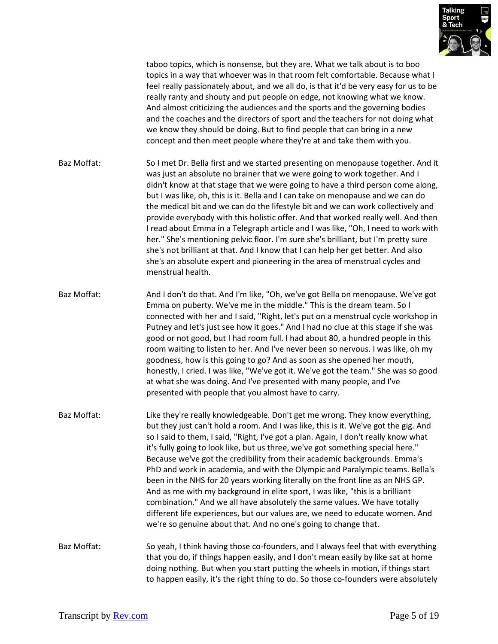

taboo topics, which is nonsense, but they are. What we talk about is to boo topics in a way that whoever was in that room felt comfortable. Because what I feel really passionately about, and we all do, is that it'd be very easy for us to be really ranty and shouty and put people on edge, not knowing what we know. And almost criticizing the audiences and the sports and the governing bodies and the coaches and the directors of sport and the teachers for not doing what we know they should be doing. But to find people that can bring in a new concept and then meet people where they're at and take them with you.

Baz Moffat: So I met Dr. Bella first and we started presenting on menopause together. And it was just an absolute no brainer that we were going to work together. And I didn't know at that stage that we were going to have a third person come along, but I was like, oh, this is it. Bella and I can take on menopause and we can do the medical bit and we can do the lifestyle bit and we can work collectively and provide everybody with this holistic offer. And that worked really well. And then I read about Emma in a Telegraph article and I was like, "Oh, I need to work with her." She's mentioning pelvic floor. I'm sure she's brilliant, but I'm pretty sure she's not brilliant at that. And I know that I can help her get better. And also she's an absolute expert and pioneering in the area of menstrual cycles and menstrual health.

- Baz Moffat: And I don't do that. And I'm like, "Oh, we've got Bella on menopause. We've got Emma on puberty. We've me in the middle." This is the dream team. So I connected with her and I said, "Right, let's put on a menstrual cycle workshop in Putney and let's just see how it goes." And I had no clue at this stage if she was good or not good, but I had room full. I had about 80, a hundred people in this room waiting to listen to her. And I've never been so nervous. I was like, oh my goodness, how is this going to go? And as soon as she opened her mouth, honestly, I cried. I was like, "We've got it. We've got the team." She was so good at what she was doing. And I've presented with many people, and I've presented with people that you almost have to carry.
- Baz Moffat: Like they're really knowledgeable. Don't get me wrong. They know everything, but they just can't hold a room. And I was like, this is it. We've got the gig. And so I said to them, I said, "Right, I've got a plan. Again, I don't really know what it's fully going to look like, but us three, we've got something special here." Because we've got the credibility from their academic backgrounds. Emma's PhD and work in academia, and with the Olympic and Paralympic teams. Bella's been in the NHS for 20 years working literally on the front line as an NHS GP. And as me with my background in elite sport, I was like, "this is a brilliant combination." And we all have absolutely the same values. We have totally different life experiences, but our values are, we need to educate women. And we're so genuine about that. And no one's going to change that.

Baz Moffat: So yeah, I think having those co-founders, and I always feel that with everything that you do, if things happen easily, and I don't mean easily by like sat at home doing nothing. But when you start putting the wheels in motion, if things start to happen easily, it's the right thing to do. So those co-founders were absolutely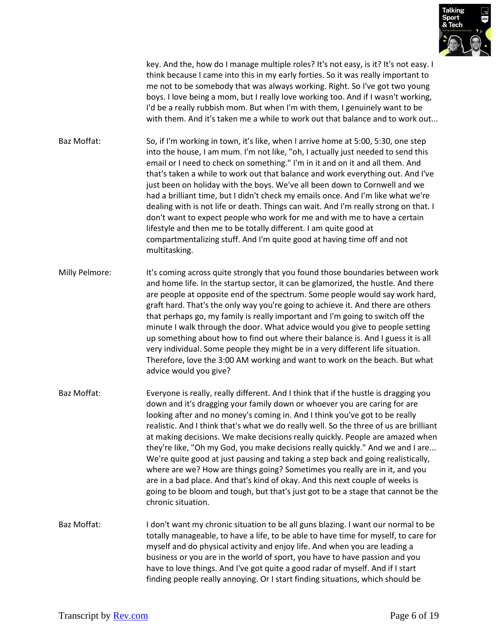

key. And the, how do I manage multiple roles? It's not easy, is it? It's not easy. I think because I came into this in my early forties. So it was really important to me not to be somebody that was always working. Right. So I've got two young boys. I love being a mom, but I really love working too. And if I wasn't working, I'd be a really rubbish mom. But when I'm with them, I genuinely want to be with them. And it's taken me a while to work out that balance and to work out...

Baz Moffat: So, if I'm working in town, it's like, when I arrive home at 5:00, 5:30, one step into the house, I am mum. I'm not like, "oh, I actually just needed to send this email or I need to check on something." I'm in it and on it and all them. And that's taken a while to work out that balance and work everything out. And I've just been on holiday with the boys. We've all been down to Cornwell and we had a brilliant time, but I didn't check my emails once. And I'm like what we're dealing with is not life or death. Things can wait. And I'm really strong on that. I don't want to expect people who work for me and with me to have a certain lifestyle and then me to be totally different. I am quite good at compartmentalizing stuff. And I'm quite good at having time off and not multitasking.

- Milly Pelmore: It's coming across quite strongly that you found those boundaries between work and home life. In the startup sector, it can be glamorized, the hustle. And there are people at opposite end of the spectrum. Some people would say work hard, graft hard. That's the only way you're going to achieve it. And there are others that perhaps go, my family is really important and I'm going to switch off the minute I walk through the door. What advice would you give to people setting up something about how to find out where their balance is. And I guess it is all very individual. Some people they might be in a very different life situation. Therefore, love the 3:00 AM working and want to work on the beach. But what advice would you give?
- Baz Moffat: Everyone is really, really different. And I think that if the hustle is dragging you down and it's dragging your family down or whoever you are caring for are looking after and no money's coming in. And I think you've got to be really realistic. And I think that's what we do really well. So the three of us are brilliant at making decisions. We make decisions really quickly. People are amazed when they're like, "Oh my God, you make decisions really quickly." And we and I are... We're quite good at just pausing and taking a step back and going realistically, where are we? How are things going? Sometimes you really are in it, and you are in a bad place. And that's kind of okay. And this next couple of weeks is going to be bloom and tough, but that's just got to be a stage that cannot be the chronic situation.
- Baz Moffat: I don't want my chronic situation to be all guns blazing. I want our normal to be totally manageable, to have a life, to be able to have time for myself, to care for myself and do physical activity and enjoy life. And when you are leading a business or you are in the world of sport, you have to have passion and you have to love things. And I've got quite a good radar of myself. And if I start finding people really annoying. Or I start finding situations, which should be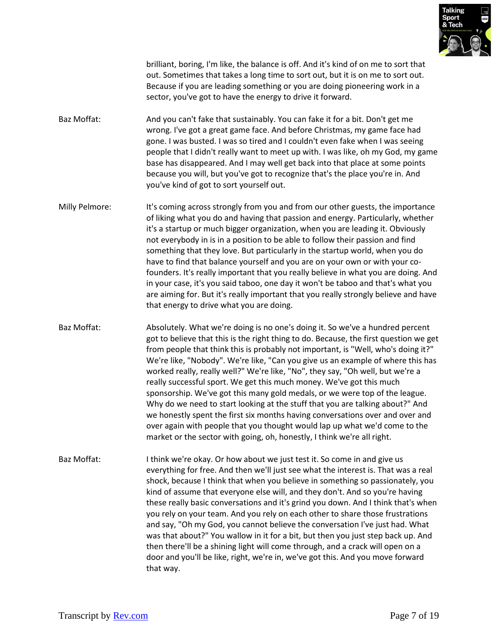

brilliant, boring, I'm like, the balance is off. And it's kind of on me to sort that out. Sometimes that takes a long time to sort out, but it is on me to sort out. Because if you are leading something or you are doing pioneering work in a sector, you've got to have the energy to drive it forward.

- Baz Moffat: And you can't fake that sustainably. You can fake it for a bit. Don't get me wrong. I've got a great game face. And before Christmas, my game face had gone. I was busted. I was so tired and I couldn't even fake when I was seeing people that I didn't really want to meet up with. I was like, oh my God, my game base has disappeared. And I may well get back into that place at some points because you will, but you've got to recognize that's the place you're in. And you've kind of got to sort yourself out.
- Milly Pelmore: It's coming across strongly from you and from our other guests, the importance of liking what you do and having that passion and energy. Particularly, whether it's a startup or much bigger organization, when you are leading it. Obviously not everybody in is in a position to be able to follow their passion and find something that they love. But particularly in the startup world, when you do have to find that balance yourself and you are on your own or with your cofounders. It's really important that you really believe in what you are doing. And in your case, it's you said taboo, one day it won't be taboo and that's what you are aiming for. But it's really important that you really strongly believe and have that energy to drive what you are doing.
- Baz Moffat: Absolutely. What we're doing is no one's doing it. So we've a hundred percent got to believe that this is the right thing to do. Because, the first question we get from people that think this is probably not important, is "Well, who's doing it?" We're like, "Nobody". We're like, "Can you give us an example of where this has worked really, really well?" We're like, "No", they say, "Oh well, but we're a really successful sport. We get this much money. We've got this much sponsorship. We've got this many gold medals, or we were top of the league. Why do we need to start looking at the stuff that you are talking about?" And we honestly spent the first six months having conversations over and over and over again with people that you thought would lap up what we'd come to the market or the sector with going, oh, honestly, I think we're all right.
- Baz Moffat: I think we're okay. Or how about we just test it. So come in and give us everything for free. And then we'll just see what the interest is. That was a real shock, because I think that when you believe in something so passionately, you kind of assume that everyone else will, and they don't. And so you're having these really basic conversations and it's grind you down. And I think that's when you rely on your team. And you rely on each other to share those frustrations and say, "Oh my God, you cannot believe the conversation I've just had. What was that about?" You wallow in it for a bit, but then you just step back up. And then there'll be a shining light will come through, and a crack will open on a door and you'll be like, right, we're in, we've got this. And you move forward that way.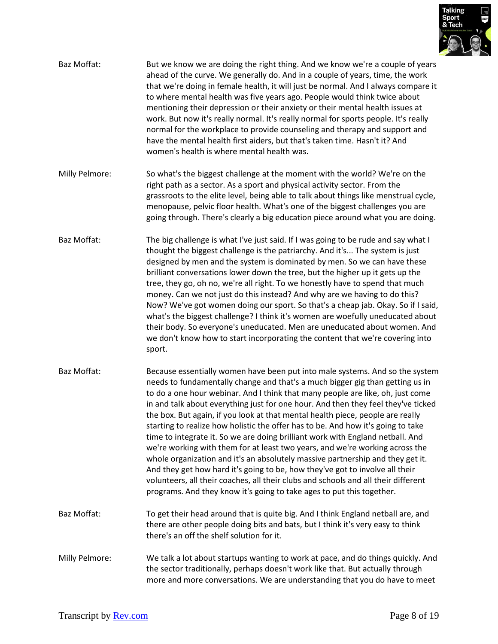

| Baz Moffat:    | But we know we are doing the right thing. And we know we're a couple of years<br>ahead of the curve. We generally do. And in a couple of years, time, the work<br>that we're doing in female health, it will just be normal. And I always compare it<br>to where mental health was five years ago. People would think twice about<br>mentioning their depression or their anxiety or their mental health issues at<br>work. But now it's really normal. It's really normal for sports people. It's really<br>normal for the workplace to provide counseling and therapy and support and<br>have the mental health first aiders, but that's taken time. Hasn't it? And<br>women's health is where mental health was.                                                                                                                                                                                                                                                                                           |
|----------------|---------------------------------------------------------------------------------------------------------------------------------------------------------------------------------------------------------------------------------------------------------------------------------------------------------------------------------------------------------------------------------------------------------------------------------------------------------------------------------------------------------------------------------------------------------------------------------------------------------------------------------------------------------------------------------------------------------------------------------------------------------------------------------------------------------------------------------------------------------------------------------------------------------------------------------------------------------------------------------------------------------------|
| Milly Pelmore: | So what's the biggest challenge at the moment with the world? We're on the<br>right path as a sector. As a sport and physical activity sector. From the<br>grassroots to the elite level, being able to talk about things like menstrual cycle,<br>menopause, pelvic floor health. What's one of the biggest challenges you are<br>going through. There's clearly a big education piece around what you are doing.                                                                                                                                                                                                                                                                                                                                                                                                                                                                                                                                                                                            |
| Baz Moffat:    | The big challenge is what I've just said. If I was going to be rude and say what I<br>thought the biggest challenge is the patriarchy. And it's The system is just<br>designed by men and the system is dominated by men. So we can have these<br>brilliant conversations lower down the tree, but the higher up it gets up the<br>tree, they go, oh no, we're all right. To we honestly have to spend that much<br>money. Can we not just do this instead? And why are we having to do this?<br>Now? We've got women doing our sport. So that's a cheap jab. Okay. So if I said,<br>what's the biggest challenge? I think it's women are woefully uneducated about<br>their body. So everyone's uneducated. Men are uneducated about women. And<br>we don't know how to start incorporating the content that we're covering into<br>sport.                                                                                                                                                                   |
| Baz Moffat:    | Because essentially women have been put into male systems. And so the system<br>needs to fundamentally change and that's a much bigger gig than getting us in<br>to do a one hour webinar. And I think that many people are like, oh, just come<br>in and talk about everything just for one hour. And then they feel they've ticked<br>the box. But again, if you look at that mental health piece, people are really<br>starting to realize how holistic the offer has to be. And how it's going to take<br>time to integrate it. So we are doing brilliant work with England netball. And<br>we're working with them for at least two years, and we're working across the<br>whole organization and it's an absolutely massive partnership and they get it.<br>And they get how hard it's going to be, how they've got to involve all their<br>volunteers, all their coaches, all their clubs and schools and all their different<br>programs. And they know it's going to take ages to put this together. |
| Baz Moffat:    | To get their head around that is quite big. And I think England netball are, and<br>there are other people doing bits and bats, but I think it's very easy to think<br>there's an off the shelf solution for it.                                                                                                                                                                                                                                                                                                                                                                                                                                                                                                                                                                                                                                                                                                                                                                                              |
| Milly Pelmore: | We talk a lot about startups wanting to work at pace, and do things quickly. And<br>the sector traditionally, perhaps doesn't work like that. But actually through<br>more and more conversations. We are understanding that you do have to meet                                                                                                                                                                                                                                                                                                                                                                                                                                                                                                                                                                                                                                                                                                                                                              |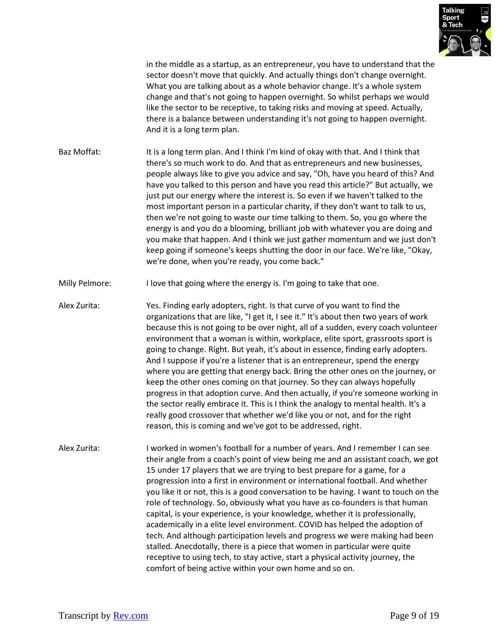

in the middle as a startup, as an entrepreneur, you have to understand that the sector doesn't move that quickly. And actually things don't change overnight. What you are talking about as a whole behavior change. It's a whole system change and that's not going to happen overnight. So whilst perhaps we would like the sector to be receptive, to taking risks and moving at speed. Actually, there is a balance between understanding it's not going to happen overnight. And it is a long term plan.

Baz Moffat: It is a long term plan. And I think I'm kind of okay with that. And I think that there's so much work to do. And that as entrepreneurs and new businesses, people always like to give you advice and say, "Oh, have you heard of this? And have you talked to this person and have you read this article?" But actually, we just put our energy where the interest is. So even if we haven't talked to the most important person in a particular charity, if they don't want to talk to us, then we're not going to waste our time talking to them. So, you go where the energy is and you do a blooming, brilliant job with whatever you are doing and you make that happen. And I think we just gather momentum and we just don't keep going if someone's keeps shutting the door in our face. We're like, "Okay, we're done, when you're ready, you come back."

Milly Pelmore: I love that going where the energy is. I'm going to take that one.

Alex Zurita: Yes. Finding early adopters, right. Is that curve of you want to find the organizations that are like, "I get it, I see it." It's about then two years of work because this is not going to be over night, all of a sudden, every coach volunteer environment that a woman is within, workplace, elite sport, grassroots sport is going to change. Right. But yeah, it's about in essence, finding early adopters. And I suppose if you're a listener that is an entrepreneur, spend the energy where you are getting that energy back. Bring the other ones on the journey, or keep the other ones coming on that journey. So they can always hopefully progress in that adoption curve. And then actually, if you're someone working in the sector really embrace it. This is I think the analogy to mental health. It's a really good crossover that whether we'd like you or not, and for the right reason, this is coming and we've got to be addressed, right.

Alex Zurita: I worked in women's football for a number of years. And I remember I can see their angle from a coach's point of view being me and an assistant coach, we got 15 under 17 players that we are trying to best prepare for a game, for a progression into a first in environment or international football. And whether you like it or not, this is a good conversation to be having. I want to touch on the role of technology. So, obviously what you have as co-founders is that human capital, is your experience, is your knowledge, whether it is professionally, academically in a elite level environment. COVID has helped the adoption of tech. And although participation levels and progress we were making had been stalled. Anecdotally, there is a piece that women in particular were quite receptive to using tech, to stay active, start a physical activity journey, the comfort of being active within your own home and so on.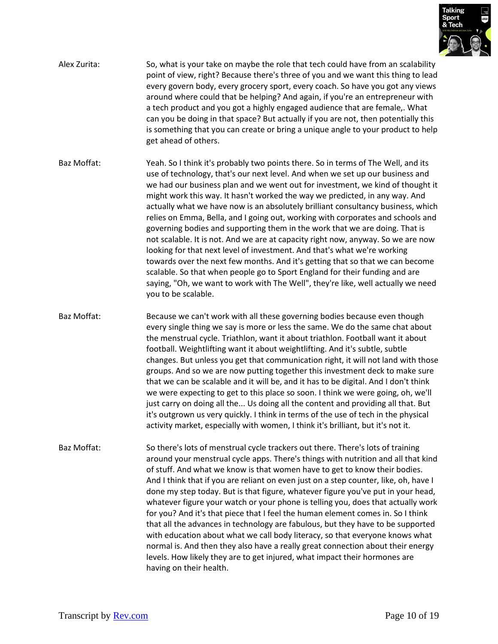

- Alex Zurita: So, what is your take on maybe the role that tech could have from an scalability point of view, right? Because there's three of you and we want this thing to lead every govern body, every grocery sport, every coach. So have you got any views around where could that be helping? And again, if you're an entrepreneur with a tech product and you got a highly engaged audience that are female,. What can you be doing in that space? But actually if you are not, then potentially this is something that you can create or bring a unique angle to your product to help get ahead of others.
- Baz Moffat: Yeah. So I think it's probably two points there. So in terms of The Well, and its use of technology, that's our next level. And when we set up our business and we had our business plan and we went out for investment, we kind of thought it might work this way. It hasn't worked the way we predicted, in any way. And actually what we have now is an absolutely brilliant consultancy business, which relies on Emma, Bella, and I going out, working with corporates and schools and governing bodies and supporting them in the work that we are doing. That is not scalable. It is not. And we are at capacity right now, anyway. So we are now looking for that next level of investment. And that's what we're working towards over the next few months. And it's getting that so that we can become scalable. So that when people go to Sport England for their funding and are saying, "Oh, we want to work with The Well", they're like, well actually we need you to be scalable.
- Baz Moffat: Because we can't work with all these governing bodies because even though every single thing we say is more or less the same. We do the same chat about the menstrual cycle. Triathlon, want it about triathlon. Football want it about football. Weightlifting want it about weightlifting. And it's subtle, subtle changes. But unless you get that communication right, it will not land with those groups. And so we are now putting together this investment deck to make sure that we can be scalable and it will be, and it has to be digital. And I don't think we were expecting to get to this place so soon. I think we were going, oh, we'll just carry on doing all the... Us doing all the content and providing all that. But it's outgrown us very quickly. I think in terms of the use of tech in the physical activity market, especially with women, I think it's brilliant, but it's not it.
- Baz Moffat: So there's lots of menstrual cycle trackers out there. There's lots of training around your menstrual cycle apps. There's things with nutrition and all that kind of stuff. And what we know is that women have to get to know their bodies. And I think that if you are reliant on even just on a step counter, like, oh, have I done my step today. But is that figure, whatever figure you've put in your head, whatever figure your watch or your phone is telling you, does that actually work for you? And it's that piece that I feel the human element comes in. So I think that all the advances in technology are fabulous, but they have to be supported with education about what we call body literacy, so that everyone knows what normal is. And then they also have a really great connection about their energy levels. How likely they are to get injured, what impact their hormones are having on their health.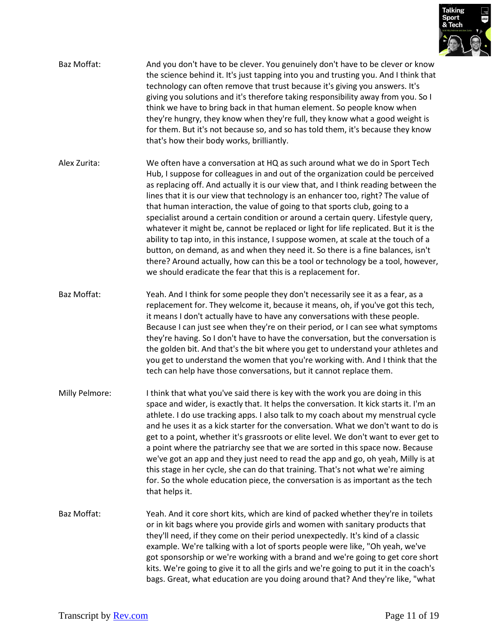

- Baz Moffat: And you don't have to be clever. You genuinely don't have to be clever or know the science behind it. It's just tapping into you and trusting you. And I think that technology can often remove that trust because it's giving you answers. It's giving you solutions and it's therefore taking responsibility away from you. So I think we have to bring back in that human element. So people know when they're hungry, they know when they're full, they know what a good weight is for them. But it's not because so, and so has told them, it's because they know that's how their body works, brilliantly.
- Alex Zurita: We often have a conversation at HQ as such around what we do in Sport Tech Hub, I suppose for colleagues in and out of the organization could be perceived as replacing off. And actually it is our view that, and I think reading between the lines that it is our view that technology is an enhancer too, right? The value of that human interaction, the value of going to that sports club, going to a specialist around a certain condition or around a certain query. Lifestyle query, whatever it might be, cannot be replaced or light for life replicated. But it is the ability to tap into, in this instance, I suppose women, at scale at the touch of a button, on demand, as and when they need it. So there is a fine balances, isn't there? Around actually, how can this be a tool or technology be a tool, however, we should eradicate the fear that this is a replacement for.
- Baz Moffat: Yeah. And I think for some people they don't necessarily see it as a fear, as a replacement for. They welcome it, because it means, oh, if you've got this tech, it means I don't actually have to have any conversations with these people. Because I can just see when they're on their period, or I can see what symptoms they're having. So I don't have to have the conversation, but the conversation is the golden bit. And that's the bit where you get to understand your athletes and you get to understand the women that you're working with. And I think that the tech can help have those conversations, but it cannot replace them.
- Milly Pelmore: I think that what you've said there is key with the work you are doing in this space and wider, is exactly that. It helps the conversation. It kick starts it. I'm an athlete. I do use tracking apps. I also talk to my coach about my menstrual cycle and he uses it as a kick starter for the conversation. What we don't want to do is get to a point, whether it's grassroots or elite level. We don't want to ever get to a point where the patriarchy see that we are sorted in this space now. Because we've got an app and they just need to read the app and go, oh yeah, Milly is at this stage in her cycle, she can do that training. That's not what we're aiming for. So the whole education piece, the conversation is as important as the tech that helps it.
- Baz Moffat: Yeah. And it core short kits, which are kind of packed whether they're in toilets or in kit bags where you provide girls and women with sanitary products that they'll need, if they come on their period unexpectedly. It's kind of a classic example. We're talking with a lot of sports people were like, "Oh yeah, we've got sponsorship or we're working with a brand and we're going to get core short kits. We're going to give it to all the girls and we're going to put it in the coach's bags. Great, what education are you doing around that? And they're like, "what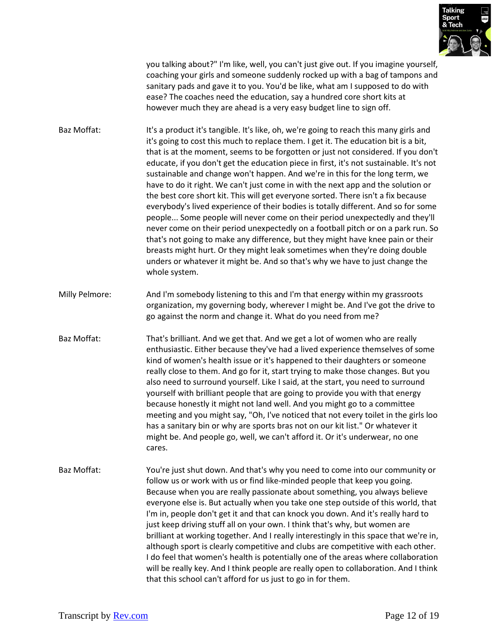

you talking about?" I'm like, well, you can't just give out. If you imagine yourself, coaching your girls and someone suddenly rocked up with a bag of tampons and sanitary pads and gave it to you. You'd be like, what am I supposed to do with ease? The coaches need the education, say a hundred core short kits at however much they are ahead is a very easy budget line to sign off.

- Baz Moffat: It's a product it's tangible. It's like, oh, we're going to reach this many girls and it's going to cost this much to replace them. I get it. The education bit is a bit, that is at the moment, seems to be forgotten or just not considered. If you don't educate, if you don't get the education piece in first, it's not sustainable. It's not sustainable and change won't happen. And we're in this for the long term, we have to do it right. We can't just come in with the next app and the solution or the best core short kit. This will get everyone sorted. There isn't a fix because everybody's lived experience of their bodies is totally different. And so for some people... Some people will never come on their period unexpectedly and they'll never come on their period unexpectedly on a football pitch or on a park run. So that's not going to make any difference, but they might have knee pain or their breasts might hurt. Or they might leak sometimes when they're doing double unders or whatever it might be. And so that's why we have to just change the whole system.
- Milly Pelmore: And I'm somebody listening to this and I'm that energy within my grassroots organization, my governing body, wherever I might be. And I've got the drive to go against the norm and change it. What do you need from me?
- Baz Moffat: That's brilliant. And we get that. And we get a lot of women who are really enthusiastic. Either because they've had a lived experience themselves of some kind of women's health issue or it's happened to their daughters or someone really close to them. And go for it, start trying to make those changes. But you also need to surround yourself. Like I said, at the start, you need to surround yourself with brilliant people that are going to provide you with that energy because honestly it might not land well. And you might go to a committee meeting and you might say, "Oh, I've noticed that not every toilet in the girls loo has a sanitary bin or why are sports bras not on our kit list." Or whatever it might be. And people go, well, we can't afford it. Or it's underwear, no one cares.
- Baz Moffat: You're just shut down. And that's why you need to come into our community or follow us or work with us or find like-minded people that keep you going. Because when you are really passionate about something, you always believe everyone else is. But actually when you take one step outside of this world, that I'm in, people don't get it and that can knock you down. And it's really hard to just keep driving stuff all on your own. I think that's why, but women are brilliant at working together. And I really interestingly in this space that we're in, although sport is clearly competitive and clubs are competitive with each other. I do feel that women's health is potentially one of the areas where collaboration will be really key. And I think people are really open to collaboration. And I think that this school can't afford for us just to go in for them.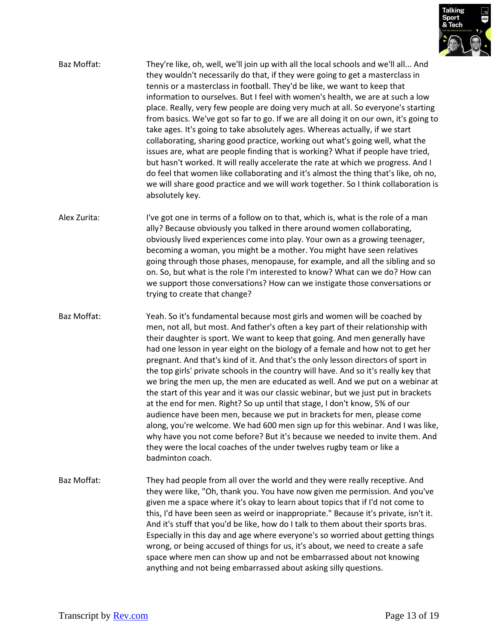

- Baz Moffat: They're like, oh, well, we'll join up with all the local schools and we'll all... And they wouldn't necessarily do that, if they were going to get a masterclass in tennis or a masterclass in football. They'd be like, we want to keep that information to ourselves. But I feel with women's health, we are at such a low place. Really, very few people are doing very much at all. So everyone's starting from basics. We've got so far to go. If we are all doing it on our own, it's going to take ages. It's going to take absolutely ages. Whereas actually, if we start collaborating, sharing good practice, working out what's going well, what the issues are, what are people finding that is working? What if people have tried, but hasn't worked. It will really accelerate the rate at which we progress. And I do feel that women like collaborating and it's almost the thing that's like, oh no, we will share good practice and we will work together. So I think collaboration is absolutely key.
- Alex Zurita: I've got one in terms of a follow on to that, which is, what is the role of a man ally? Because obviously you talked in there around women collaborating, obviously lived experiences come into play. Your own as a growing teenager, becoming a woman, you might be a mother. You might have seen relatives going through those phases, menopause, for example, and all the sibling and so on. So, but what is the role I'm interested to know? What can we do? How can we support those conversations? How can we instigate those conversations or trying to create that change?
- Baz Moffat: Yeah. So it's fundamental because most girls and women will be coached by men, not all, but most. And father's often a key part of their relationship with their daughter is sport. We want to keep that going. And men generally have had one lesson in year eight on the biology of a female and how not to get her pregnant. And that's kind of it. And that's the only lesson directors of sport in the top girls' private schools in the country will have. And so it's really key that we bring the men up, the men are educated as well. And we put on a webinar at the start of this year and it was our classic webinar, but we just put in brackets at the end for men. Right? So up until that stage, I don't know, 5% of our audience have been men, because we put in brackets for men, please come along, you're welcome. We had 600 men sign up for this webinar. And I was like, why have you not come before? But it's because we needed to invite them. And they were the local coaches of the under twelves rugby team or like a badminton coach.
- Baz Moffat: They had people from all over the world and they were really receptive. And they were like, "Oh, thank you. You have now given me permission. And you've given me a space where it's okay to learn about topics that if I'd not come to this, I'd have been seen as weird or inappropriate." Because it's private, isn't it. And it's stuff that you'd be like, how do I talk to them about their sports bras. Especially in this day and age where everyone's so worried about getting things wrong, or being accused of things for us, it's about, we need to create a safe space where men can show up and not be embarrassed about not knowing anything and not being embarrassed about asking silly questions.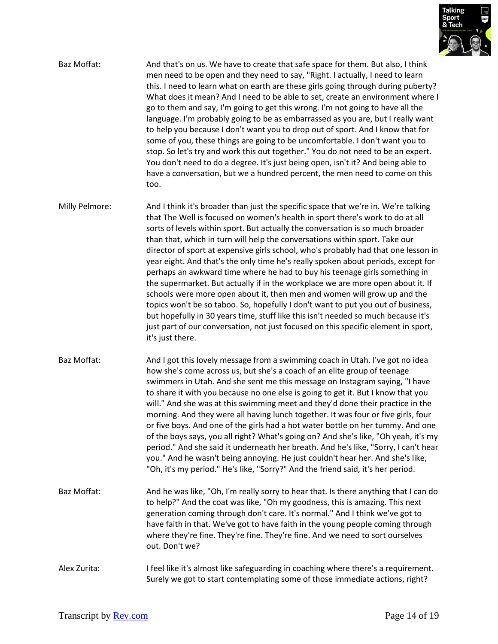

- Baz Moffat: And that's on us. We have to create that safe space for them. But also, I think men need to be open and they need to say, "Right. I actually, I need to learn this. I need to learn what on earth are these girls going through during puberty? What does it mean? And I need to be able to set, create an environment where I go to them and say, I'm going to get this wrong. I'm not going to have all the language. I'm probably going to be as embarrassed as you are, but I really want to help you because I don't want you to drop out of sport. And I know that for some of you, these things are going to be uncomfortable. I don't want you to stop. So let's try and work this out together." You do not need to be an expert. You don't need to do a degree. It's just being open, isn't it? And being able to have a conversation, but we a hundred percent, the men need to come on this too.
- Milly Pelmore: And I think it's broader than just the specific space that we're in. We're talking that The Well is focused on women's health in sport there's work to do at all sorts of levels within sport. But actually the conversation is so much broader than that, which in turn will help the conversations within sport. Take our director of sport at expensive girls school, who's probably had that one lesson in year eight. And that's the only time he's really spoken about periods, except for perhaps an awkward time where he had to buy his teenage girls something in the supermarket. But actually if in the workplace we are more open about it. If schools were more open about it, then men and women will grow up and the topics won't be so taboo. So, hopefully I don't want to put you out of business, but hopefully in 30 years time, stuff like this isn't needed so much because it's just part of our conversation, not just focused on this specific element in sport, it's just there.
- Baz Moffat: And I got this lovely message from a swimming coach in Utah. I've got no idea how she's come across us, but she's a coach of an elite group of teenage swimmers in Utah. And she sent me this message on Instagram saying, "I have to share it with you because no one else is going to get it. But I know that you will." And she was at this swimming meet and they'd done their practice in the morning. And they were all having lunch together. It was four or five girls, four or five boys. And one of the girls had a hot water bottle on her tummy. And one of the boys says, you all right? What's going on? And she's like, "Oh yeah, it's my period." And she said it underneath her breath. And he's like, "Sorry, I can't hear you." And he wasn't being annoying. He just couldn't hear her. And she's like, "Oh, it's my period." He's like, "Sorry?" And the friend said, it's her period.
- Baz Moffat: And he was like, "Oh, I'm really sorry to hear that. Is there anything that I can do to help?" And the coat was like, "Oh my goodness, this is amazing. This next generation coming through don't care. It's normal." And I think we've got to have faith in that. We've got to have faith in the young people coming through where they're fine. They're fine. They're fine. And we need to sort ourselves out. Don't we?
- Alex Zurita: I feel like it's almost like safeguarding in coaching where there's a requirement. Surely we got to start contemplating some of those immediate actions, right?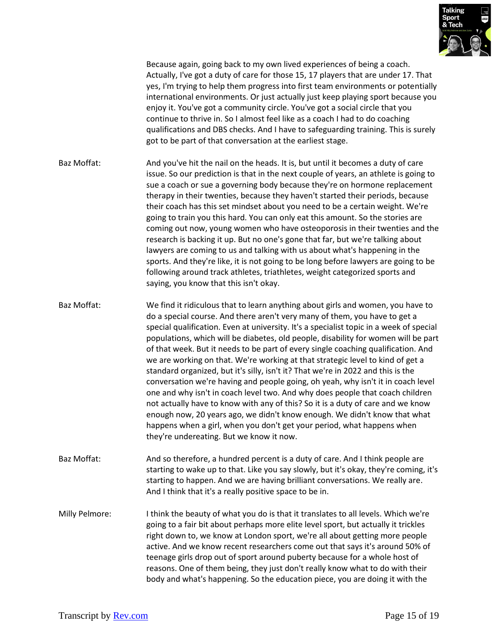

Because again, going back to my own lived experiences of being a coach. Actually, I've got a duty of care for those 15, 17 players that are under 17. That yes, I'm trying to help them progress into first team environments or potentially international environments. Or just actually just keep playing sport because you enjoy it. You've got a community circle. You've got a social circle that you continue to thrive in. So I almost feel like as a coach I had to do coaching qualifications and DBS checks. And I have to safeguarding training. This is surely got to be part of that conversation at the earliest stage.

- Baz Moffat: And you've hit the nail on the heads. It is, but until it becomes a duty of care issue. So our prediction is that in the next couple of years, an athlete is going to sue a coach or sue a governing body because they're on hormone replacement therapy in their twenties, because they haven't started their periods, because their coach has this set mindset about you need to be a certain weight. We're going to train you this hard. You can only eat this amount. So the stories are coming out now, young women who have osteoporosis in their twenties and the research is backing it up. But no one's gone that far, but we're talking about lawyers are coming to us and talking with us about what's happening in the sports. And they're like, it is not going to be long before lawyers are going to be following around track athletes, triathletes, weight categorized sports and saying, you know that this isn't okay.
- Baz Moffat: We find it ridiculous that to learn anything about girls and women, you have to do a special course. And there aren't very many of them, you have to get a special qualification. Even at university. It's a specialist topic in a week of special populations, which will be diabetes, old people, disability for women will be part of that week. But it needs to be part of every single coaching qualification. And we are working on that. We're working at that strategic level to kind of get a standard organized, but it's silly, isn't it? That we're in 2022 and this is the conversation we're having and people going, oh yeah, why isn't it in coach level one and why isn't in coach level two. And why does people that coach children not actually have to know with any of this? So it is a duty of care and we know enough now, 20 years ago, we didn't know enough. We didn't know that what happens when a girl, when you don't get your period, what happens when they're undereating. But we know it now.
- Baz Moffat: And so therefore, a hundred percent is a duty of care. And I think people are starting to wake up to that. Like you say slowly, but it's okay, they're coming, it's starting to happen. And we are having brilliant conversations. We really are. And I think that it's a really positive space to be in.
- Milly Pelmore: I think the beauty of what you do is that it translates to all levels. Which we're going to a fair bit about perhaps more elite level sport, but actually it trickles right down to, we know at London sport, we're all about getting more people active. And we know recent researchers come out that says it's around 50% of teenage girls drop out of sport around puberty because for a whole host of reasons. One of them being, they just don't really know what to do with their body and what's happening. So the education piece, you are doing it with the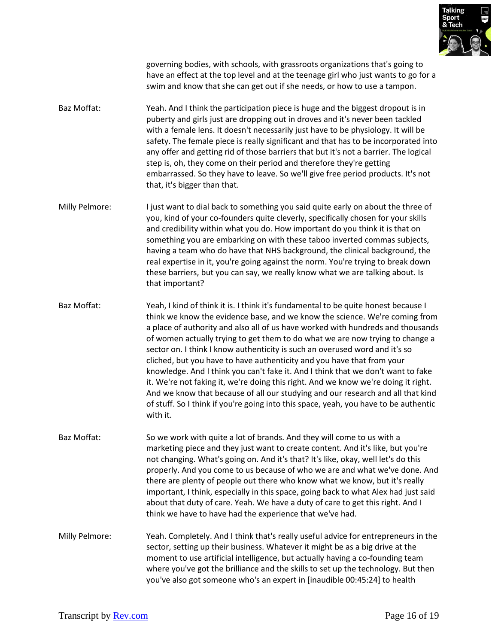

governing bodies, with schools, with grassroots organizations that's going to have an effect at the top level and at the teenage girl who just wants to go for a swim and know that she can get out if she needs, or how to use a tampon.

- Baz Moffat: Yeah. And I think the participation piece is huge and the biggest dropout is in puberty and girls just are dropping out in droves and it's never been tackled with a female lens. It doesn't necessarily just have to be physiology. It will be safety. The female piece is really significant and that has to be incorporated into any offer and getting rid of those barriers that but it's not a barrier. The logical step is, oh, they come on their period and therefore they're getting embarrassed. So they have to leave. So we'll give free period products. It's not that, it's bigger than that.
- Milly Pelmore: I just want to dial back to something you said quite early on about the three of you, kind of your co-founders quite cleverly, specifically chosen for your skills and credibility within what you do. How important do you think it is that on something you are embarking on with these taboo inverted commas subjects, having a team who do have that NHS background, the clinical background, the real expertise in it, you're going against the norm. You're trying to break down these barriers, but you can say, we really know what we are talking about. Is that important?
- Baz Moffat: Yeah, I kind of think it is. I think it's fundamental to be quite honest because I think we know the evidence base, and we know the science. We're coming from a place of authority and also all of us have worked with hundreds and thousands of women actually trying to get them to do what we are now trying to change a sector on. I think I know authenticity is such an overused word and it's so cliched, but you have to have authenticity and you have that from your knowledge. And I think you can't fake it. And I think that we don't want to fake it. We're not faking it, we're doing this right. And we know we're doing it right. And we know that because of all our studying and our research and all that kind of stuff. So I think if you're going into this space, yeah, you have to be authentic with it.
- Baz Moffat: So we work with quite a lot of brands. And they will come to us with a marketing piece and they just want to create content. And it's like, but you're not changing. What's going on. And it's that? It's like, okay, well let's do this properly. And you come to us because of who we are and what we've done. And there are plenty of people out there who know what we know, but it's really important, I think, especially in this space, going back to what Alex had just said about that duty of care. Yeah. We have a duty of care to get this right. And I think we have to have had the experience that we've had.
- Milly Pelmore: Yeah. Completely. And I think that's really useful advice for entrepreneurs in the sector, setting up their business. Whatever it might be as a big drive at the moment to use artificial intelligence, but actually having a co-founding team where you've got the brilliance and the skills to set up the technology. But then you've also got someone who's an expert in [inaudible 00:45:24] to health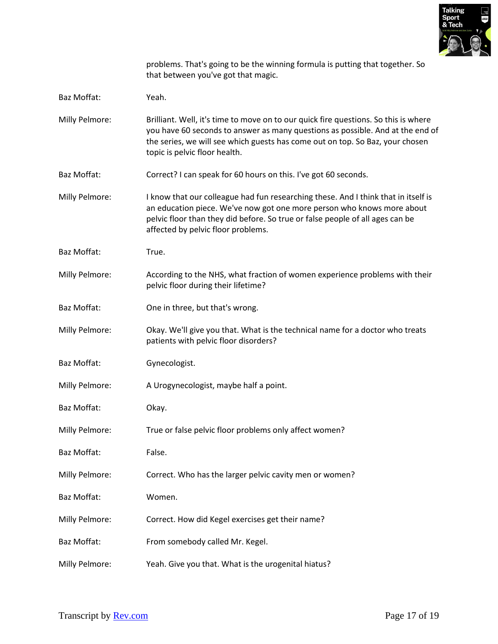

problems. That's going to be the winning formula is putting that together. So that between you've got that magic.

- Baz Moffat: Yeah.
- Milly Pelmore: Brilliant. Well, it's time to move on to our quick fire questions. So this is where you have 60 seconds to answer as many questions as possible. And at the end of the series, we will see which guests has come out on top. So Baz, your chosen topic is pelvic floor health.
- Baz Moffat: Correct? I can speak for 60 hours on this. I've got 60 seconds.
- Milly Pelmore: I know that our colleague had fun researching these. And I think that in itself is an education piece. We've now got one more person who knows more about pelvic floor than they did before. So true or false people of all ages can be affected by pelvic floor problems.
- Baz Moffat: True.
- Milly Pelmore: According to the NHS, what fraction of women experience problems with their pelvic floor during their lifetime?
- Baz Moffat: One in three, but that's wrong.
- Milly Pelmore: Okay. We'll give you that. What is the technical name for a doctor who treats patients with pelvic floor disorders?
- Baz Moffat: Gynecologist.
- Milly Pelmore: A Urogynecologist, maybe half a point.
- Baz Moffat: Okay.
- Milly Pelmore: True or false pelvic floor problems only affect women?
- Baz Moffat: False.
- Milly Pelmore: Correct. Who has the larger pelvic cavity men or women?
- Baz Moffat: Women.
- Milly Pelmore: Correct. How did Kegel exercises get their name?
- Baz Moffat: From somebody called Mr. Kegel.
- Milly Pelmore: Yeah. Give you that. What is the urogenital hiatus?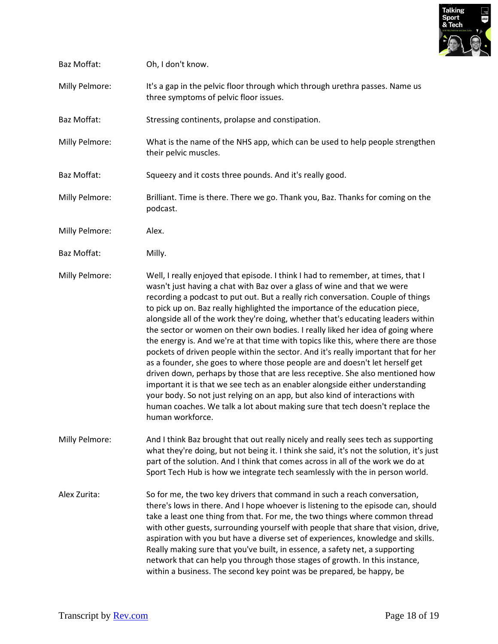

| Baz Moffat:    | Oh, I don't know.                                                                                                                                                                                                                                                                                                                                                                                                                                                                                                                                                                                                                                                                                                                                                                                                                                                                                                                                                                                                                                                                                                         |
|----------------|---------------------------------------------------------------------------------------------------------------------------------------------------------------------------------------------------------------------------------------------------------------------------------------------------------------------------------------------------------------------------------------------------------------------------------------------------------------------------------------------------------------------------------------------------------------------------------------------------------------------------------------------------------------------------------------------------------------------------------------------------------------------------------------------------------------------------------------------------------------------------------------------------------------------------------------------------------------------------------------------------------------------------------------------------------------------------------------------------------------------------|
| Milly Pelmore: | It's a gap in the pelvic floor through which through urethra passes. Name us<br>three symptoms of pelvic floor issues.                                                                                                                                                                                                                                                                                                                                                                                                                                                                                                                                                                                                                                                                                                                                                                                                                                                                                                                                                                                                    |
| Baz Moffat:    | Stressing continents, prolapse and constipation.                                                                                                                                                                                                                                                                                                                                                                                                                                                                                                                                                                                                                                                                                                                                                                                                                                                                                                                                                                                                                                                                          |
| Milly Pelmore: | What is the name of the NHS app, which can be used to help people strengthen<br>their pelvic muscles.                                                                                                                                                                                                                                                                                                                                                                                                                                                                                                                                                                                                                                                                                                                                                                                                                                                                                                                                                                                                                     |
| Baz Moffat:    | Squeezy and it costs three pounds. And it's really good.                                                                                                                                                                                                                                                                                                                                                                                                                                                                                                                                                                                                                                                                                                                                                                                                                                                                                                                                                                                                                                                                  |
| Milly Pelmore: | Brilliant. Time is there. There we go. Thank you, Baz. Thanks for coming on the<br>podcast.                                                                                                                                                                                                                                                                                                                                                                                                                                                                                                                                                                                                                                                                                                                                                                                                                                                                                                                                                                                                                               |
| Milly Pelmore: | Alex.                                                                                                                                                                                                                                                                                                                                                                                                                                                                                                                                                                                                                                                                                                                                                                                                                                                                                                                                                                                                                                                                                                                     |
| Baz Moffat:    | Milly.                                                                                                                                                                                                                                                                                                                                                                                                                                                                                                                                                                                                                                                                                                                                                                                                                                                                                                                                                                                                                                                                                                                    |
| Milly Pelmore: | Well, I really enjoyed that episode. I think I had to remember, at times, that I<br>wasn't just having a chat with Baz over a glass of wine and that we were<br>recording a podcast to put out. But a really rich conversation. Couple of things<br>to pick up on. Baz really highlighted the importance of the education piece,<br>alongside all of the work they're doing, whether that's educating leaders within<br>the sector or women on their own bodies. I really liked her idea of going where<br>the energy is. And we're at that time with topics like this, where there are those<br>pockets of driven people within the sector. And it's really important that for her<br>as a founder, she goes to where those people are and doesn't let herself get<br>driven down, perhaps by those that are less receptive. She also mentioned how<br>important it is that we see tech as an enabler alongside either understanding<br>your body. So not just relying on an app, but also kind of interactions with<br>human coaches. We talk a lot about making sure that tech doesn't replace the<br>human workforce. |
| Milly Pelmore: | And I think Baz brought that out really nicely and really sees tech as supporting<br>what they're doing, but not being it. I think she said, it's not the solution, it's just<br>part of the solution. And I think that comes across in all of the work we do at<br>Sport Tech Hub is how we integrate tech seamlessly with the in person world.                                                                                                                                                                                                                                                                                                                                                                                                                                                                                                                                                                                                                                                                                                                                                                          |
| Alex Zurita:   | So for me, the two key drivers that command in such a reach conversation,<br>there's lows in there. And I hope whoever is listening to the episode can, should<br>take a least one thing from that. For me, the two things where common thread<br>with other guests, surrounding yourself with people that share that vision, drive,<br>aspiration with you but have a diverse set of experiences, knowledge and skills.<br>Really making sure that you've built, in essence, a safety net, a supporting<br>network that can help you through those stages of growth. In this instance,<br>within a business. The second key point was be prepared, be happy, be                                                                                                                                                                                                                                                                                                                                                                                                                                                          |